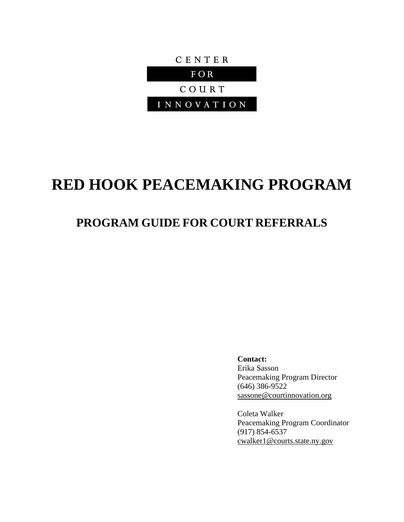

# **RED HOOK PEACEMAKING PROGRAM**

# **PROGRAM GUIDE FOR COURT REFERRALS**

**Contact:**

Erika Sasson Peacemaking Program Director (646) 386-9522 [sassone@courtinnovation.org](mailto:sassone@courtinnovation.org)

Coleta Walker Peacemaking Program Coordinator (917) 854-6537 [cwalker1@courts.state.ny.gov](mailto:cwalker1@courts.state.ny.gov)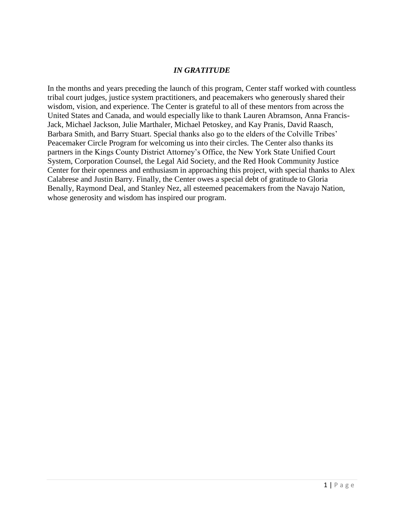#### *IN GRATITUDE*

In the months and years preceding the launch of this program, Center staff worked with countless tribal court judges, justice system practitioners, and peacemakers who generously shared their wisdom, vision, and experience. The Center is grateful to all of these mentors from across the United States and Canada, and would especially like to thank Lauren Abramson, Anna Francis-Jack, Michael Jackson, Julie Marthaler, Michael Petoskey, and Kay Pranis, David Raasch, Barbara Smith, and Barry Stuart. Special thanks also go to the elders of the Colville Tribes' Peacemaker Circle Program for welcoming us into their circles. The Center also thanks its partners in the Kings County District Attorney's Office, the New York State Unified Court System, Corporation Counsel, the Legal Aid Society, and the Red Hook Community Justice Center for their openness and enthusiasm in approaching this project, with special thanks to Alex Calabrese and Justin Barry. Finally, the Center owes a special debt of gratitude to Gloria Benally, Raymond Deal, and Stanley Nez, all esteemed peacemakers from the Navajo Nation, whose generosity and wisdom has inspired our program.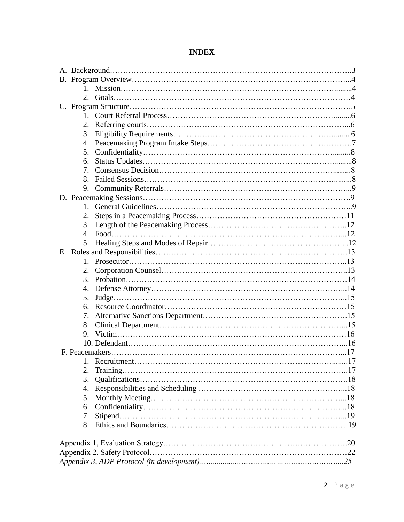#### **INDEX**

| 2.                               |  |
|----------------------------------|--|
| 3.                               |  |
|                                  |  |
| 5.                               |  |
| 6.                               |  |
| $7_{\scriptscriptstyle{\ddots}}$ |  |
|                                  |  |
| 9.                               |  |
|                                  |  |
| $1 \quad$                        |  |
|                                  |  |
|                                  |  |
|                                  |  |
|                                  |  |
|                                  |  |
| $1_{-}$                          |  |
|                                  |  |
|                                  |  |
| 4.                               |  |
| 5.                               |  |
|                                  |  |
| 7.                               |  |
| 8.                               |  |
|                                  |  |
|                                  |  |
|                                  |  |
|                                  |  |
| 2.                               |  |
| 3.                               |  |
|                                  |  |
| 5.                               |  |
| 6.                               |  |
|                                  |  |
|                                  |  |
|                                  |  |
|                                  |  |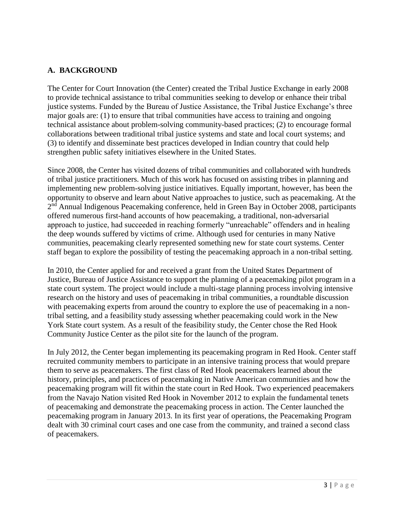#### **A. BACKGROUND**

The Center for Court Innovation (the Center) created the Tribal Justice Exchange in early 2008 to provide technical assistance to tribal communities seeking to develop or enhance their tribal justice systems. Funded by the Bureau of Justice Assistance, the Tribal Justice Exchange's three major goals are: (1) to ensure that tribal communities have access to training and ongoing technical assistance about problem-solving community-based practices; (2) to encourage formal collaborations between traditional tribal justice systems and state and local court systems; and (3) to identify and disseminate best practices developed in Indian country that could help strengthen public safety initiatives elsewhere in the United States.

Since 2008, the Center has visited dozens of tribal communities and collaborated with hundreds of tribal justice practitioners. Much of this work has focused on assisting tribes in planning and implementing new problem-solving justice initiatives. Equally important, however, has been the opportunity to observe and learn about Native approaches to justice, such as peacemaking. At the 2<sup>nd</sup> Annual Indigenous Peacemaking conference, held in Green Bay in October 2008, participants offered numerous first-hand accounts of how peacemaking, a traditional, non-adversarial approach to justice, had succeeded in reaching formerly "unreachable" offenders and in healing the deep wounds suffered by victims of crime. Although used for centuries in many Native communities, peacemaking clearly represented something new for state court systems. Center staff began to explore the possibility of testing the peacemaking approach in a non-tribal setting.

In 2010, the Center applied for and received a grant from the United States Department of Justice, Bureau of Justice Assistance to support the planning of a peacemaking pilot program in a state court system. The project would include a multi-stage planning process involving intensive research on the history and uses of peacemaking in tribal communities, a roundtable discussion with peacemaking experts from around the country to explore the use of peacemaking in a nontribal setting, and a feasibility study assessing whether peacemaking could work in the New York State court system. As a result of the feasibility study, the Center chose the Red Hook Community Justice Center as the pilot site for the launch of the program.

In July 2012, the Center began implementing its peacemaking program in Red Hook. Center staff recruited community members to participate in an intensive training process that would prepare them to serve as peacemakers. The first class of Red Hook peacemakers learned about the history, principles, and practices of peacemaking in Native American communities and how the peacemaking program will fit within the state court in Red Hook. Two experienced peacemakers from the Navajo Nation visited Red Hook in November 2012 to explain the fundamental tenets of peacemaking and demonstrate the peacemaking process in action. The Center launched the peacemaking program in January 2013. In its first year of operations, the Peacemaking Program dealt with 30 criminal court cases and one case from the community, and trained a second class of peacemakers.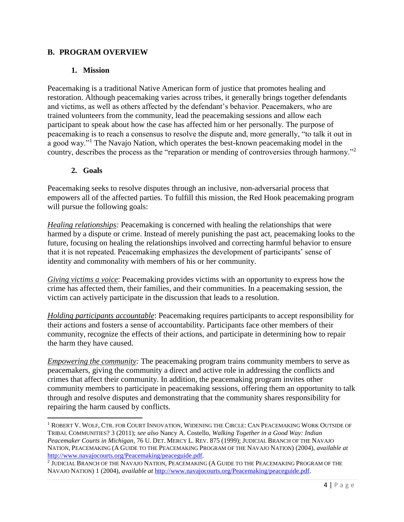#### **B. PROGRAM OVERVIEW**

#### **1. Mission**

Peacemaking is a traditional Native American form of justice that promotes healing and restoration. Although peacemaking varies across tribes, it generally brings together defendants and victims, as well as others affected by the defendant's behavior. Peacemakers, who are trained volunteers from the community, lead the peacemaking sessions and allow each participant to speak about how the case has affected him or her personally. The purpose of peacemaking is to reach a consensus to resolve the dispute and, more generally, "to talk it out in a good way."<sup>1</sup> The Navajo Nation, which operates the best-known peacemaking model in the country, describes the process as the "reparation or mending of controversies through harmony."<sup>2</sup>

#### **2. Goals**

 $\overline{\phantom{a}}$ 

Peacemaking seeks to resolve disputes through an inclusive, non-adversarial process that empowers all of the affected parties. To fulfill this mission, the Red Hook peacemaking program will pursue the following goals:

*Healing relationships:* Peacemaking is concerned with healing the relationships that were harmed by a dispute or crime. Instead of merely punishing the past act, peacemaking looks to the future, focusing on healing the relationships involved and correcting harmful behavior to ensure that it is not repeated. Peacemaking emphasizes the development of participants' sense of identity and commonality with members of his or her community.

*Giving victims a voice*: Peacemaking provides victims with an opportunity to express how the crime has affected them, their families, and their communities. In a peacemaking session, the victim can actively participate in the discussion that leads to a resolution.

*Holding participants accountable*: Peacemaking requires participants to accept responsibility for their actions and fosters a sense of accountability. Participants face other members of their community, recognize the effects of their actions, and participate in determining how to repair the harm they have caused.

*Empowering the community:* The peacemaking program trains community members to serve as peacemakers, giving the community a direct and active role in addressing the conflicts and crimes that affect their community. In addition, the peacemaking program invites other community members to participate in peacemaking sessions, offering them an opportunity to talk through and resolve disputes and demonstrating that the community shares responsibility for repairing the harm caused by conflicts.

<sup>1</sup> ROBERT V. WOLF, CTR. FOR COURT INNOVATION, WIDENING THE CIRCLE: CAN PEACEMAKING WORK OUTSIDE OF TRIBAL COMMUNITIES? 3 (2011); *see also* Nancy A. Costello, *Walking Together in a Good Way: Indian Peacemaker Courts in Michigan*, 76 U. DET. MERCY L. REV. 875 (1999); JUDICIAL BRANCH OF THE NAVAJO NATION, PEACEMAKING (A GUIDE TO THE PEACEMAKING PROGRAM OF THE NAVAJO NATION) (2004), *available at* [http://www.navajocourts.org/Peacemaking/peaceguide.pdf.](http://www.navajocourts.org/Peacemaking/peaceguide.pdf)

<sup>2</sup> JUDICIAL BRANCH OF THE NAVAJO NATION, PEACEMAKING (A GUIDE TO THE PEACEMAKING PROGRAM OF THE NAVAJO NATION) 1 (2004), *available at* [http://www.navajocourts.org/Peacemaking/peaceguide.pdf.](http://www.navajocourts.org/Peacemaking/peaceguide.pdf)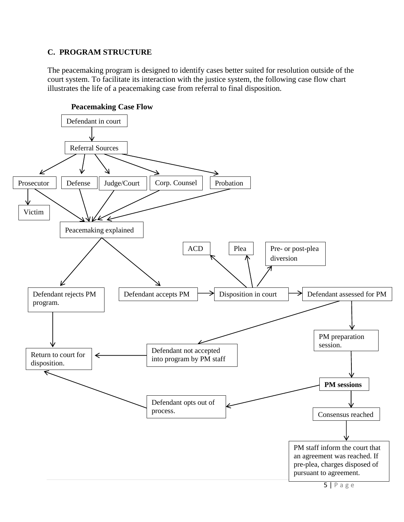#### **C. PROGRAM STRUCTURE**

The peacemaking program is designed to identify cases better suited for resolution outside of the court system. To facilitate its interaction with the justice system, the following case flow chart illustrates the life of a peacemaking case from referral to final disposition.

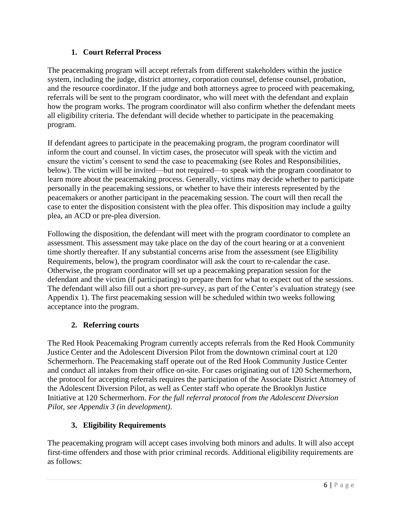#### **1. Court Referral Process**

The peacemaking program will accept referrals from different stakeholders within the justice system, including the judge, district attorney, corporation counsel, defense counsel, probation, and the resource coordinator. If the judge and both attorneys agree to proceed with peacemaking, referrals will be sent to the program coordinator, who will meet with the defendant and explain how the program works. The program coordinator will also confirm whether the defendant meets all eligibility criteria. The defendant will decide whether to participate in the peacemaking program.

If defendant agrees to participate in the peacemaking program, the program coordinator will inform the court and counsel. In victim cases, the prosecutor will speak with the victim and ensure the victim's consent to send the case to peacemaking (see Roles and Responsibilities, below). The victim will be invited—but not required—to speak with the program coordinator to learn more about the peacemaking process. Generally, victims may decide whether to participate personally in the peacemaking sessions, or whether to have their interests represented by the peacemakers or another participant in the peacemaking session. The court will then recall the case to enter the disposition consistent with the plea offer. This disposition may include a guilty plea, an ACD or pre-plea diversion.

Following the disposition, the defendant will meet with the program coordinator to complete an assessment. This assessment may take place on the day of the court hearing or at a convenient time shortly thereafter. If any substantial concerns arise from the assessment (see Eligibility Requirements, below), the program coordinator will ask the court to re-calendar the case. Otherwise, the program coordinator will set up a peacemaking preparation session for the defendant and the victim (if participating) to prepare them for what to expect out of the sessions. The defendant will also fill out a short pre-survey, as part of the Center's evaluation strategy (see Appendix 1). The first peacemaking session will be scheduled within two weeks following acceptance into the program.

#### **2. Referring courts**

The Red Hook Peacemaking Program currently accepts referrals from the Red Hook Community Justice Center and the Adolescent Diversion Pilot from the downtown criminal court at 120 Schermerhorn. The Peacemaking staff operate out of the Red Hook Community Justice Center and conduct all intakes from their office on-site. For cases originating out of 120 Schermerhorn, the protocol for accepting referrals requires the participation of the Associate District Attorney of the Adolescent Diversion Pilot, as well as Center staff who operate the Brooklyn Justice Initiative at 120 Schermerhorn. *For the full referral protocol from the Adolescent Diversion Pilot, see Appendix 3 (in development)*.

#### **3. Eligibility Requirements**

The peacemaking program will accept cases involving both minors and adults. It will also accept first-time offenders and those with prior criminal records. Additional eligibility requirements are as follows: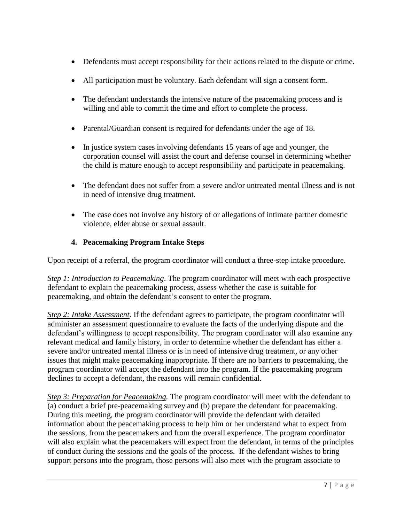- Defendants must accept responsibility for their actions related to the dispute or crime.
- All participation must be voluntary. Each defendant will sign a consent form.
- The defendant understands the intensive nature of the peacemaking process and is willing and able to commit the time and effort to complete the process.
- Parental/Guardian consent is required for defendants under the age of 18.
- In justice system cases involving defendants 15 years of age and younger, the corporation counsel will assist the court and defense counsel in determining whether the child is mature enough to accept responsibility and participate in peacemaking.
- The defendant does not suffer from a severe and/or untreated mental illness and is not in need of intensive drug treatment.
- The case does not involve any history of or allegations of intimate partner domestic violence, elder abuse or sexual assault.

#### **4. Peacemaking Program Intake Steps**

Upon receipt of a referral, the program coordinator will conduct a three-step intake procedure.

*Step 1: Introduction to Peacemaking*. The program coordinator will meet with each prospective defendant to explain the peacemaking process, assess whether the case is suitable for peacemaking, and obtain the defendant's consent to enter the program.

*Step 2: Intake Assessment.* If the defendant agrees to participate, the program coordinator will administer an assessment questionnaire to evaluate the facts of the underlying dispute and the defendant's willingness to accept responsibility. The program coordinator will also examine any relevant medical and family history, in order to determine whether the defendant has either a severe and/or untreated mental illness or is in need of intensive drug treatment, or any other issues that might make peacemaking inappropriate. If there are no barriers to peacemaking, the program coordinator will accept the defendant into the program. If the peacemaking program declines to accept a defendant, the reasons will remain confidential.

*Step 3: Preparation for Peacemaking.* The program coordinator will meet with the defendant to (a) conduct a brief pre-peacemaking survey and (b) prepare the defendant for peacemaking. During this meeting, the program coordinator will provide the defendant with detailed information about the peacemaking process to help him or her understand what to expect from the sessions, from the peacemakers and from the overall experience. The program coordinator will also explain what the peacemakers will expect from the defendant, in terms of the principles of conduct during the sessions and the goals of the process. If the defendant wishes to bring support persons into the program, those persons will also meet with the program associate to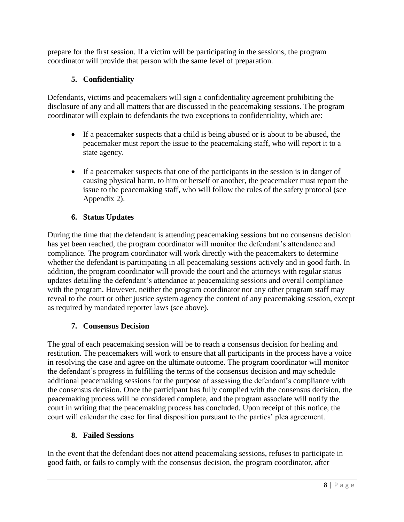prepare for the first session. If a victim will be participating in the sessions, the program coordinator will provide that person with the same level of preparation.

# **5. Confidentiality**

Defendants, victims and peacemakers will sign a confidentiality agreement prohibiting the disclosure of any and all matters that are discussed in the peacemaking sessions. The program coordinator will explain to defendants the two exceptions to confidentiality, which are:

- If a peacemaker suspects that a child is being abused or is about to be abused, the peacemaker must report the issue to the peacemaking staff, who will report it to a state agency.
- If a peacemaker suspects that one of the participants in the session is in danger of causing physical harm, to him or herself or another, the peacemaker must report the issue to the peacemaking staff, who will follow the rules of the safety protocol (see Appendix 2).

# **6. Status Updates**

During the time that the defendant is attending peacemaking sessions but no consensus decision has yet been reached, the program coordinator will monitor the defendant's attendance and compliance. The program coordinator will work directly with the peacemakers to determine whether the defendant is participating in all peacemaking sessions actively and in good faith. In addition, the program coordinator will provide the court and the attorneys with regular status updates detailing the defendant's attendance at peacemaking sessions and overall compliance with the program. However, neither the program coordinator nor any other program staff may reveal to the court or other justice system agency the content of any peacemaking session, except as required by mandated reporter laws (see above).

# **7. Consensus Decision**

The goal of each peacemaking session will be to reach a consensus decision for healing and restitution. The peacemakers will work to ensure that all participants in the process have a voice in resolving the case and agree on the ultimate outcome. The program coordinator will monitor the defendant's progress in fulfilling the terms of the consensus decision and may schedule additional peacemaking sessions for the purpose of assessing the defendant's compliance with the consensus decision. Once the participant has fully complied with the consensus decision, the peacemaking process will be considered complete, and the program associate will notify the court in writing that the peacemaking process has concluded. Upon receipt of this notice, the court will calendar the case for final disposition pursuant to the parties' plea agreement.

# **8. Failed Sessions**

In the event that the defendant does not attend peacemaking sessions, refuses to participate in good faith, or fails to comply with the consensus decision, the program coordinator, after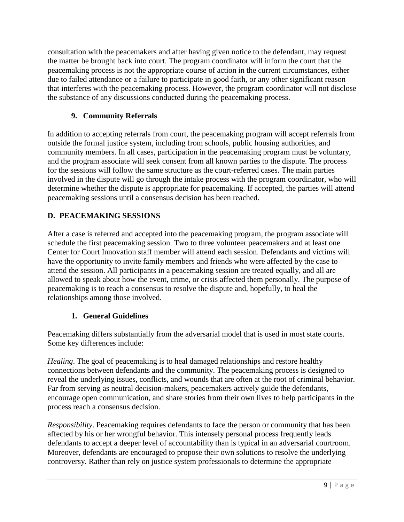consultation with the peacemakers and after having given notice to the defendant, may request the matter be brought back into court. The program coordinator will inform the court that the peacemaking process is not the appropriate course of action in the current circumstances, either due to failed attendance or a failure to participate in good faith, or any other significant reason that interferes with the peacemaking process. However, the program coordinator will not disclose the substance of any discussions conducted during the peacemaking process.

# **9. Community Referrals**

In addition to accepting referrals from court, the peacemaking program will accept referrals from outside the formal justice system, including from schools, public housing authorities, and community members. In all cases, participation in the peacemaking program must be voluntary, and the program associate will seek consent from all known parties to the dispute. The process for the sessions will follow the same structure as the court-referred cases. The main parties involved in the dispute will go through the intake process with the program coordinator, who will determine whether the dispute is appropriate for peacemaking. If accepted, the parties will attend peacemaking sessions until a consensus decision has been reached.

# **D. PEACEMAKING SESSIONS**

After a case is referred and accepted into the peacemaking program, the program associate will schedule the first peacemaking session. Two to three volunteer peacemakers and at least one Center for Court Innovation staff member will attend each session. Defendants and victims will have the opportunity to invite family members and friends who were affected by the case to attend the session. All participants in a peacemaking session are treated equally, and all are allowed to speak about how the event, crime, or crisis affected them personally. The purpose of peacemaking is to reach a consensus to resolve the dispute and, hopefully, to heal the relationships among those involved.

#### **1. General Guidelines**

Peacemaking differs substantially from the adversarial model that is used in most state courts. Some key differences include:

*Healing*. The goal of peacemaking is to heal damaged relationships and restore healthy connections between defendants and the community. The peacemaking process is designed to reveal the underlying issues, conflicts, and wounds that are often at the root of criminal behavior. Far from serving as neutral decision-makers, peacemakers actively guide the defendants, encourage open communication, and share stories from their own lives to help participants in the process reach a consensus decision.

*Responsibility*. Peacemaking requires defendants to face the person or community that has been affected by his or her wrongful behavior. This intensely personal process frequently leads defendants to accept a deeper level of accountability than is typical in an adversarial courtroom. Moreover, defendants are encouraged to propose their own solutions to resolve the underlying controversy. Rather than rely on justice system professionals to determine the appropriate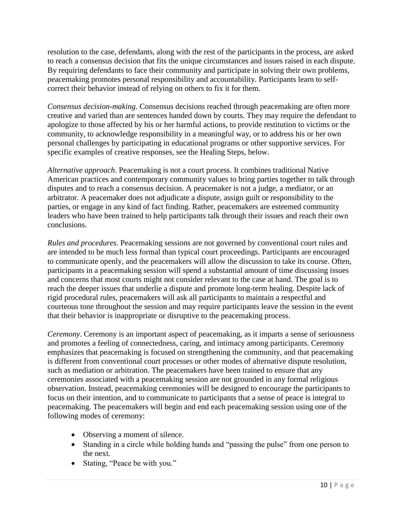resolution to the case, defendants, along with the rest of the participants in the process, are asked to reach a consensus decision that fits the unique circumstances and issues raised in each dispute. By requiring defendants to face their community and participate in solving their own problems, peacemaking promotes personal responsibility and accountability. Participants learn to selfcorrect their behavior instead of relying on others to fix it for them.

*Consensus decision-making.* Consensus decisions reached through peacemaking are often more creative and varied than are sentences handed down by courts. They may require the defendant to apologize to those affected by his or her harmful actions, to provide restitution to victims or the community, to acknowledge responsibility in a meaningful way, or to address his or her own personal challenges by participating in educational programs or other supportive services. For specific examples of creative responses, see the Healing Steps, below.

*Alternative approach*. Peacemaking is not a court process. It combines traditional Native American practices and contemporary community values to bring parties together to talk through disputes and to reach a consensus decision. A peacemaker is not a judge, a mediator, or an arbitrator. A peacemaker does not adjudicate a dispute, assign guilt or responsibility to the parties, or engage in any kind of fact finding. Rather, peacemakers are esteemed community leaders who have been trained to help participants talk through their issues and reach their own conclusions.

*Rules and procedures*. Peacemaking sessions are not governed by conventional court rules and are intended to be much less formal than typical court proceedings. Participants are encouraged to communicate openly, and the peacemakers will allow the discussion to take its course. Often, participants in a peacemaking session will spend a substantial amount of time discussing issues and concerns that most courts might not consider relevant to the case at hand. The goal is to reach the deeper issues that underlie a dispute and promote long-term healing. Despite lack of rigid procedural rules, peacemakers will ask all participants to maintain a respectful and courteous tone throughout the session and may require participants leave the session in the event that their behavior is inappropriate or disruptive to the peacemaking process.

*Ceremony*. Ceremony is an important aspect of peacemaking, as it imparts a sense of seriousness and promotes a feeling of connectedness, caring, and intimacy among participants. Ceremony emphasizes that peacemaking is focused on strengthening the community, and that peacemaking is different from conventional court processes or other modes of alternative dispute resolution, such as mediation or arbitration. The peacemakers have been trained to ensure that any ceremonies associated with a peacemaking session are not grounded in any formal religious observation. Instead, peacemaking ceremonies will be designed to encourage the participants to focus on their intention, and to communicate to participants that a sense of peace is integral to peacemaking. The peacemakers will begin and end each peacemaking session using one of the following modes of ceremony:

- Observing a moment of silence.
- Standing in a circle while holding hands and "passing the pulse" from one person to the next.
- Stating, "Peace be with you."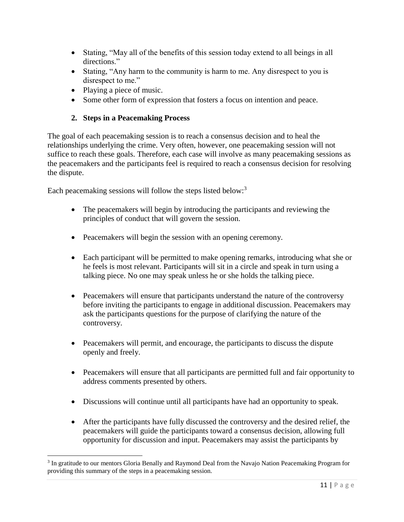- Stating, "May all of the benefits of this session today extend to all beings in all directions."
- Stating, "Any harm to the community is harm to me. Any disrespect to you is disrespect to me."
- Playing a piece of music.

 $\overline{\phantom{a}}$ 

• Some other form of expression that fosters a focus on intention and peace.

#### **2. Steps in a Peacemaking Process**

The goal of each peacemaking session is to reach a consensus decision and to heal the relationships underlying the crime. Very often, however, one peacemaking session will not suffice to reach these goals. Therefore, each case will involve as many peacemaking sessions as the peacemakers and the participants feel is required to reach a consensus decision for resolving the dispute.

Each peacemaking sessions will follow the steps listed below:<sup>3</sup>

- The peacemakers will begin by introducing the participants and reviewing the principles of conduct that will govern the session.
- Peacemakers will begin the session with an opening ceremony.
- Each participant will be permitted to make opening remarks, introducing what she or he feels is most relevant. Participants will sit in a circle and speak in turn using a talking piece. No one may speak unless he or she holds the talking piece.
- Peacemakers will ensure that participants understand the nature of the controversy before inviting the participants to engage in additional discussion. Peacemakers may ask the participants questions for the purpose of clarifying the nature of the controversy.
- Peacemakers will permit, and encourage, the participants to discuss the dispute openly and freely.
- Peacemakers will ensure that all participants are permitted full and fair opportunity to address comments presented by others.
- Discussions will continue until all participants have had an opportunity to speak.
- After the participants have fully discussed the controversy and the desired relief, the peacemakers will guide the participants toward a consensus decision, allowing full opportunity for discussion and input. Peacemakers may assist the participants by

<sup>&</sup>lt;sup>3</sup> In gratitude to our mentors Gloria Benally and Raymond Deal from the Navajo Nation Peacemaking Program for providing this summary of the steps in a peacemaking session.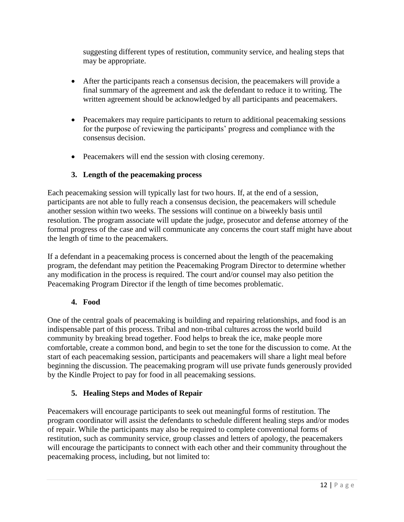suggesting different types of restitution, community service, and healing steps that may be appropriate.

- After the participants reach a consensus decision, the peacemakers will provide a final summary of the agreement and ask the defendant to reduce it to writing. The written agreement should be acknowledged by all participants and peacemakers.
- Peacemakers may require participants to return to additional peacemaking sessions for the purpose of reviewing the participants' progress and compliance with the consensus decision.
- Peacemakers will end the session with closing ceremony.

# **3. Length of the peacemaking process**

Each peacemaking session will typically last for two hours. If, at the end of a session, participants are not able to fully reach a consensus decision, the peacemakers will schedule another session within two weeks. The sessions will continue on a biweekly basis until resolution. The program associate will update the judge, prosecutor and defense attorney of the formal progress of the case and will communicate any concerns the court staff might have about the length of time to the peacemakers.

If a defendant in a peacemaking process is concerned about the length of the peacemaking program, the defendant may petition the Peacemaking Program Director to determine whether any modification in the process is required. The court and/or counsel may also petition the Peacemaking Program Director if the length of time becomes problematic.

#### **4. Food**

One of the central goals of peacemaking is building and repairing relationships, and food is an indispensable part of this process. Tribal and non-tribal cultures across the world build community by breaking bread together. Food helps to break the ice, make people more comfortable, create a common bond, and begin to set the tone for the discussion to come. At the start of each peacemaking session, participants and peacemakers will share a light meal before beginning the discussion. The peacemaking program will use private funds generously provided by the Kindle Project to pay for food in all peacemaking sessions.

#### **5. Healing Steps and Modes of Repair**

Peacemakers will encourage participants to seek out meaningful forms of restitution. The program coordinator will assist the defendants to schedule different healing steps and/or modes of repair. While the participants may also be required to complete conventional forms of restitution, such as community service, group classes and letters of apology, the peacemakers will encourage the participants to connect with each other and their community throughout the peacemaking process, including, but not limited to: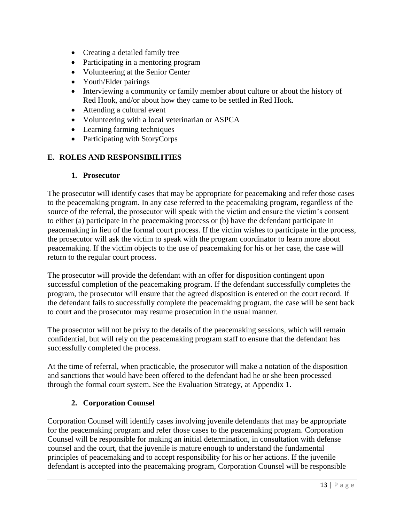- Creating a detailed family tree
- Participating in a mentoring program
- Volunteering at the Senior Center
- Youth/Elder pairings
- Interviewing a community or family member about culture or about the history of Red Hook, and/or about how they came to be settled in Red Hook.
- Attending a cultural event
- Volunteering with a local veterinarian or ASPCA
- Learning farming techniques
- Participating with StoryCorps

#### **E. ROLES AND RESPONSIBILITIES**

#### **1. Prosecutor**

The prosecutor will identify cases that may be appropriate for peacemaking and refer those cases to the peacemaking program. In any case referred to the peacemaking program, regardless of the source of the referral, the prosecutor will speak with the victim and ensure the victim's consent to either (a) participate in the peacemaking process or (b) have the defendant participate in peacemaking in lieu of the formal court process. If the victim wishes to participate in the process, the prosecutor will ask the victim to speak with the program coordinator to learn more about peacemaking. If the victim objects to the use of peacemaking for his or her case, the case will return to the regular court process.

The prosecutor will provide the defendant with an offer for disposition contingent upon successful completion of the peacemaking program. If the defendant successfully completes the program, the prosecutor will ensure that the agreed disposition is entered on the court record. If the defendant fails to successfully complete the peacemaking program, the case will be sent back to court and the prosecutor may resume prosecution in the usual manner.

The prosecutor will not be privy to the details of the peacemaking sessions, which will remain confidential, but will rely on the peacemaking program staff to ensure that the defendant has successfully completed the process.

At the time of referral, when practicable, the prosecutor will make a notation of the disposition and sanctions that would have been offered to the defendant had he or she been processed through the formal court system. See the Evaluation Strategy, at Appendix 1.

#### **2. Corporation Counsel**

Corporation Counsel will identify cases involving juvenile defendants that may be appropriate for the peacemaking program and refer those cases to the peacemaking program. Corporation Counsel will be responsible for making an initial determination, in consultation with defense counsel and the court, that the juvenile is mature enough to understand the fundamental principles of peacemaking and to accept responsibility for his or her actions. If the juvenile defendant is accepted into the peacemaking program, Corporation Counsel will be responsible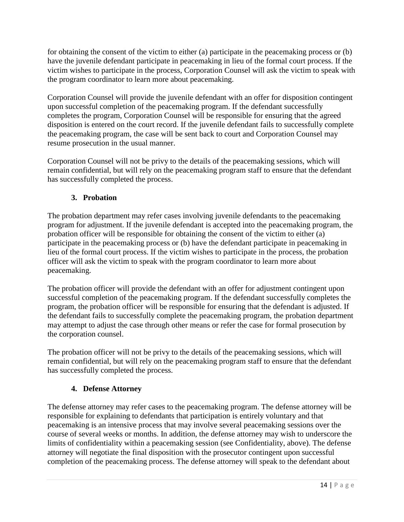for obtaining the consent of the victim to either (a) participate in the peacemaking process or (b) have the juvenile defendant participate in peacemaking in lieu of the formal court process. If the victim wishes to participate in the process, Corporation Counsel will ask the victim to speak with the program coordinator to learn more about peacemaking.

Corporation Counsel will provide the juvenile defendant with an offer for disposition contingent upon successful completion of the peacemaking program. If the defendant successfully completes the program, Corporation Counsel will be responsible for ensuring that the agreed disposition is entered on the court record. If the juvenile defendant fails to successfully complete the peacemaking program, the case will be sent back to court and Corporation Counsel may resume prosecution in the usual manner.

Corporation Counsel will not be privy to the details of the peacemaking sessions, which will remain confidential, but will rely on the peacemaking program staff to ensure that the defendant has successfully completed the process.

# **3. Probation**

The probation department may refer cases involving juvenile defendants to the peacemaking program for adjustment. If the juvenile defendant is accepted into the peacemaking program, the probation officer will be responsible for obtaining the consent of the victim to either (a) participate in the peacemaking process or (b) have the defendant participate in peacemaking in lieu of the formal court process. If the victim wishes to participate in the process, the probation officer will ask the victim to speak with the program coordinator to learn more about peacemaking.

The probation officer will provide the defendant with an offer for adjustment contingent upon successful completion of the peacemaking program. If the defendant successfully completes the program, the probation officer will be responsible for ensuring that the defendant is adjusted. If the defendant fails to successfully complete the peacemaking program, the probation department may attempt to adjust the case through other means or refer the case for formal prosecution by the corporation counsel.

The probation officer will not be privy to the details of the peacemaking sessions, which will remain confidential, but will rely on the peacemaking program staff to ensure that the defendant has successfully completed the process.

#### **4. Defense Attorney**

The defense attorney may refer cases to the peacemaking program. The defense attorney will be responsible for explaining to defendants that participation is entirely voluntary and that peacemaking is an intensive process that may involve several peacemaking sessions over the course of several weeks or months. In addition, the defense attorney may wish to underscore the limits of confidentiality within a peacemaking session (see Confidentiality, above). The defense attorney will negotiate the final disposition with the prosecutor contingent upon successful completion of the peacemaking process. The defense attorney will speak to the defendant about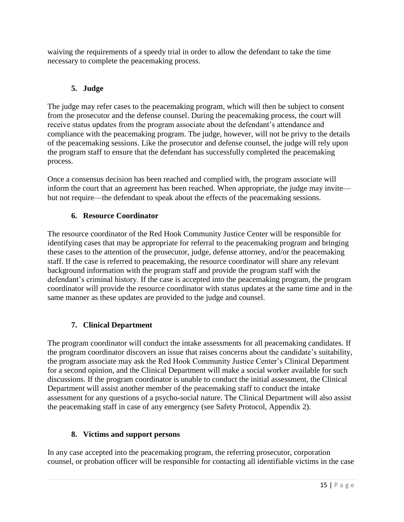waiving the requirements of a speedy trial in order to allow the defendant to take the time necessary to complete the peacemaking process.

# **5. Judge**

The judge may refer cases to the peacemaking program, which will then be subject to consent from the prosecutor and the defense counsel. During the peacemaking process, the court will receive status updates from the program associate about the defendant's attendance and compliance with the peacemaking program. The judge, however, will not be privy to the details of the peacemaking sessions. Like the prosecutor and defense counsel, the judge will rely upon the program staff to ensure that the defendant has successfully completed the peacemaking process.

Once a consensus decision has been reached and complied with, the program associate will inform the court that an agreement has been reached. When appropriate, the judge may invite but not require—the defendant to speak about the effects of the peacemaking sessions.

# **6. Resource Coordinator**

The resource coordinator of the Red Hook Community Justice Center will be responsible for identifying cases that may be appropriate for referral to the peacemaking program and bringing these cases to the attention of the prosecutor, judge, defense attorney, and/or the peacemaking staff. If the case is referred to peacemaking, the resource coordinator will share any relevant background information with the program staff and provide the program staff with the defendant's criminal history. If the case is accepted into the peacemaking program, the program coordinator will provide the resource coordinator with status updates at the same time and in the same manner as these updates are provided to the judge and counsel.

# **7. Clinical Department**

The program coordinator will conduct the intake assessments for all peacemaking candidates. If the program coordinator discovers an issue that raises concerns about the candidate's suitability, the program associate may ask the Red Hook Community Justice Center's Clinical Department for a second opinion, and the Clinical Department will make a social worker available for such discussions. If the program coordinator is unable to conduct the initial assessment, the Clinical Department will assist another member of the peacemaking staff to conduct the intake assessment for any questions of a psycho-social nature. The Clinical Department will also assist the peacemaking staff in case of any emergency (see Safety Protocol, Appendix 2).

#### **8. Victims and support persons**

In any case accepted into the peacemaking program, the referring prosecutor, corporation counsel, or probation officer will be responsible for contacting all identifiable victims in the case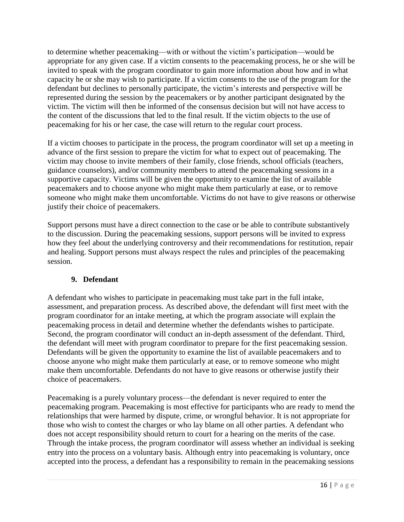to determine whether peacemaking—with or without the victim's participation—would be appropriate for any given case. If a victim consents to the peacemaking process, he or she will be invited to speak with the program coordinator to gain more information about how and in what capacity he or she may wish to participate. If a victim consents to the use of the program for the defendant but declines to personally participate, the victim's interests and perspective will be represented during the session by the peacemakers or by another participant designated by the victim. The victim will then be informed of the consensus decision but will not have access to the content of the discussions that led to the final result. If the victim objects to the use of peacemaking for his or her case, the case will return to the regular court process.

If a victim chooses to participate in the process, the program coordinator will set up a meeting in advance of the first session to prepare the victim for what to expect out of peacemaking. The victim may choose to invite members of their family, close friends, school officials (teachers, guidance counselors), and/or community members to attend the peacemaking sessions in a supportive capacity. Victims will be given the opportunity to examine the list of available peacemakers and to choose anyone who might make them particularly at ease, or to remove someone who might make them uncomfortable. Victims do not have to give reasons or otherwise justify their choice of peacemakers.

Support persons must have a direct connection to the case or be able to contribute substantively to the discussion. During the peacemaking sessions, support persons will be invited to express how they feel about the underlying controversy and their recommendations for restitution, repair and healing. Support persons must always respect the rules and principles of the peacemaking session.

#### **9. Defendant**

A defendant who wishes to participate in peacemaking must take part in the full intake, assessment, and preparation process. As described above, the defendant will first meet with the program coordinator for an intake meeting, at which the program associate will explain the peacemaking process in detail and determine whether the defendants wishes to participate. Second, the program coordinator will conduct an in-depth assessment of the defendant. Third, the defendant will meet with program coordinator to prepare for the first peacemaking session. Defendants will be given the opportunity to examine the list of available peacemakers and to choose anyone who might make them particularly at ease, or to remove someone who might make them uncomfortable. Defendants do not have to give reasons or otherwise justify their choice of peacemakers.

Peacemaking is a purely voluntary process—the defendant is never required to enter the peacemaking program. Peacemaking is most effective for participants who are ready to mend the relationships that were harmed by dispute, crime, or wrongful behavior. It is not appropriate for those who wish to contest the charges or who lay blame on all other parties. A defendant who does not accept responsibility should return to court for a hearing on the merits of the case. Through the intake process, the program coordinator will assess whether an individual is seeking entry into the process on a voluntary basis. Although entry into peacemaking is voluntary, once accepted into the process, a defendant has a responsibility to remain in the peacemaking sessions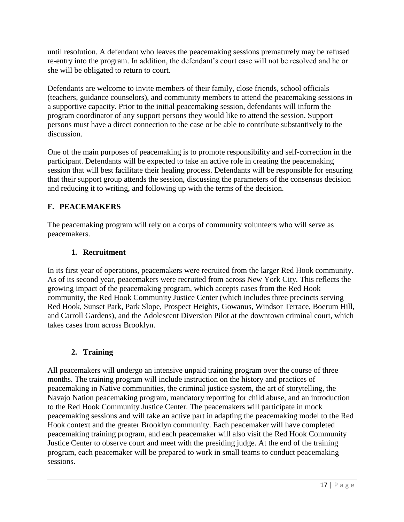until resolution. A defendant who leaves the peacemaking sessions prematurely may be refused re-entry into the program. In addition, the defendant's court case will not be resolved and he or she will be obligated to return to court.

Defendants are welcome to invite members of their family, close friends, school officials (teachers, guidance counselors), and community members to attend the peacemaking sessions in a supportive capacity. Prior to the initial peacemaking session, defendants will inform the program coordinator of any support persons they would like to attend the session. Support persons must have a direct connection to the case or be able to contribute substantively to the discussion.

One of the main purposes of peacemaking is to promote responsibility and self-correction in the participant. Defendants will be expected to take an active role in creating the peacemaking session that will best facilitate their healing process. Defendants will be responsible for ensuring that their support group attends the session, discussing the parameters of the consensus decision and reducing it to writing, and following up with the terms of the decision.

# **F. PEACEMAKERS**

The peacemaking program will rely on a corps of community volunteers who will serve as peacemakers.

#### **1. Recruitment**

In its first year of operations, peacemakers were recruited from the larger Red Hook community. As of its second year, peacemakers were recruited from across New York City. This reflects the growing impact of the peacemaking program, which accepts cases from the Red Hook community, the Red Hook Community Justice Center (which includes three precincts serving Red Hook, Sunset Park, Park Slope, Prospect Heights, Gowanus, Windsor Terrace, Boerum Hill, and Carroll Gardens), and the Adolescent Diversion Pilot at the downtown criminal court, which takes cases from across Brooklyn.

#### **2. Training**

All peacemakers will undergo an intensive unpaid training program over the course of three months. The training program will include instruction on the history and practices of peacemaking in Native communities, the criminal justice system, the art of storytelling, the Navajo Nation peacemaking program, mandatory reporting for child abuse, and an introduction to the Red Hook Community Justice Center. The peacemakers will participate in mock peacemaking sessions and will take an active part in adapting the peacemaking model to the Red Hook context and the greater Brooklyn community. Each peacemaker will have completed peacemaking training program, and each peacemaker will also visit the Red Hook Community Justice Center to observe court and meet with the presiding judge. At the end of the training program, each peacemaker will be prepared to work in small teams to conduct peacemaking sessions.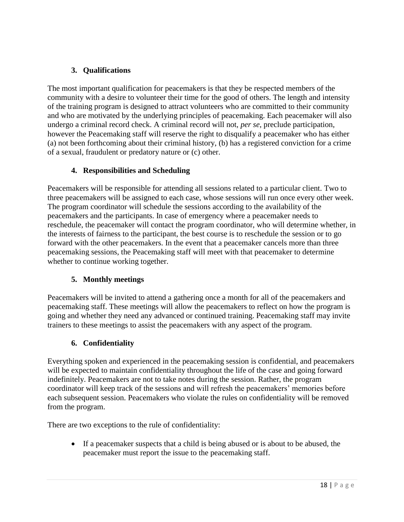#### **3. Qualifications**

The most important qualification for peacemakers is that they be respected members of the community with a desire to volunteer their time for the good of others. The length and intensity of the training program is designed to attract volunteers who are committed to their community and who are motivated by the underlying principles of peacemaking. Each peacemaker will also undergo a criminal record check. A criminal record will not, *per se*, preclude participation, however the Peacemaking staff will reserve the right to disqualify a peacemaker who has either (a) not been forthcoming about their criminal history, (b) has a registered conviction for a crime of a sexual, fraudulent or predatory nature or (c) other.

# **4. Responsibilities and Scheduling**

Peacemakers will be responsible for attending all sessions related to a particular client. Two to three peacemakers will be assigned to each case, whose sessions will run once every other week. The program coordinator will schedule the sessions according to the availability of the peacemakers and the participants. In case of emergency where a peacemaker needs to reschedule, the peacemaker will contact the program coordinator, who will determine whether, in the interests of fairness to the participant, the best course is to reschedule the session or to go forward with the other peacemakers. In the event that a peacemaker cancels more than three peacemaking sessions, the Peacemaking staff will meet with that peacemaker to determine whether to continue working together.

#### **5. Monthly meetings**

Peacemakers will be invited to attend a gathering once a month for all of the peacemakers and peacemaking staff. These meetings will allow the peacemakers to reflect on how the program is going and whether they need any advanced or continued training. Peacemaking staff may invite trainers to these meetings to assist the peacemakers with any aspect of the program.

#### **6. Confidentiality**

Everything spoken and experienced in the peacemaking session is confidential, and peacemakers will be expected to maintain confidentiality throughout the life of the case and going forward indefinitely. Peacemakers are not to take notes during the session. Rather, the program coordinator will keep track of the sessions and will refresh the peacemakers' memories before each subsequent session. Peacemakers who violate the rules on confidentiality will be removed from the program.

There are two exceptions to the rule of confidentiality:

 If a peacemaker suspects that a child is being abused or is about to be abused, the peacemaker must report the issue to the peacemaking staff.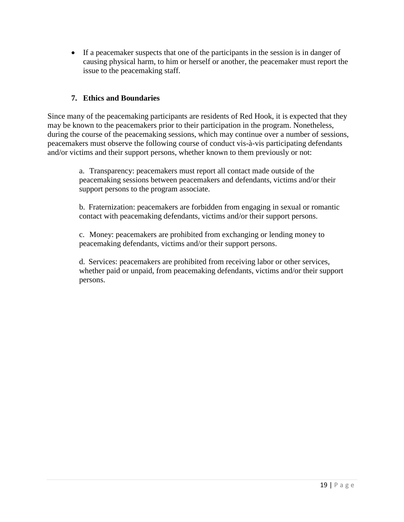If a peacemaker suspects that one of the participants in the session is in danger of causing physical harm, to him or herself or another, the peacemaker must report the issue to the peacemaking staff.

#### **7. Ethics and Boundaries**

Since many of the peacemaking participants are residents of Red Hook, it is expected that they may be known to the peacemakers prior to their participation in the program. Nonetheless, during the course of the peacemaking sessions, which may continue over a number of sessions, peacemakers must observe the following course of conduct vis-à-vis participating defendants and/or victims and their support persons, whether known to them previously or not:

> a. Transparency: peacemakers must report all contact made outside of the peacemaking sessions between peacemakers and defendants, victims and/or their support persons to the program associate.

b. Fraternization: peacemakers are forbidden from engaging in sexual or romantic contact with peacemaking defendants, victims and/or their support persons.

c. Money: peacemakers are prohibited from exchanging or lending money to peacemaking defendants, victims and/or their support persons.

d. Services: peacemakers are prohibited from receiving labor or other services, whether paid or unpaid, from peacemaking defendants, victims and/or their support persons.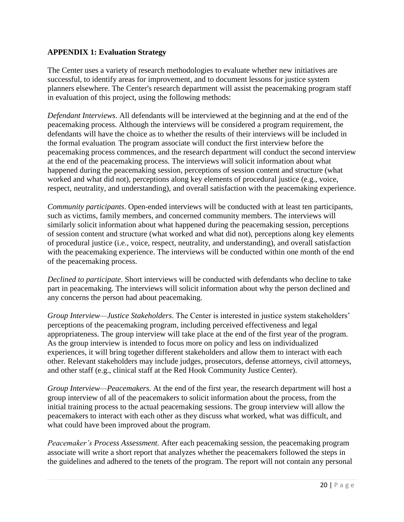#### **APPENDIX 1: Evaluation Strategy**

The Center uses a variety of research methodologies to evaluate whether new initiatives are successful, to identify areas for improvement, and to document lessons for justice system planners elsewhere. The Center's research department will assist the peacemaking program staff in evaluation of this project, using the following methods:

*Defendant Interviews*. All defendants will be interviewed at the beginning and at the end of the peacemaking process. Although the interviews will be considered a program requirement, the defendants will have the choice as to whether the results of their interviews will be included in the formal evaluation. The program associate will conduct the first interview before the peacemaking process commences, and the research department will conduct the second interview at the end of the peacemaking process. The interviews will solicit information about what happened during the peacemaking session, perceptions of session content and structure (what worked and what did not), perceptions along key elements of procedural justice (e.g., voice, respect, neutrality, and understanding), and overall satisfaction with the peacemaking experience.

*Community participants*. Open-ended interviews will be conducted with at least ten participants, such as victims, family members, and concerned community members. The interviews will similarly solicit information about what happened during the peacemaking session, perceptions of session content and structure (what worked and what did not), perceptions along key elements of procedural justice (i.e., voice, respect, neutrality, and understanding), and overall satisfaction with the peacemaking experience. The interviews will be conducted within one month of the end of the peacemaking process.

*Declined to participate*. Short interviews will be conducted with defendants who decline to take part in peacemaking. The interviews will solicit information about why the person declined and any concerns the person had about peacemaking.

*Group Interview—Justice Stakeholders*. The Center is interested in justice system stakeholders' perceptions of the peacemaking program, including perceived effectiveness and legal appropriateness. The group interview will take place at the end of the first year of the program. As the group interview is intended to focus more on policy and less on individualized experiences, it will bring together different stakeholders and allow them to interact with each other. Relevant stakeholders may include judges, prosecutors, defense attorneys, civil attorneys, and other staff (e.g., clinical staff at the Red Hook Community Justice Center).

*Group Interview—Peacemakers.* At the end of the first year, the research department will host a group interview of all of the peacemakers to solicit information about the process, from the initial training process to the actual peacemaking sessions. The group interview will allow the peacemakers to interact with each other as they discuss what worked, what was difficult, and what could have been improved about the program.

*Peacemaker's Process Assessment.* After each peacemaking session, the peacemaking program associate will write a short report that analyzes whether the peacemakers followed the steps in the guidelines and adhered to the tenets of the program. The report will not contain any personal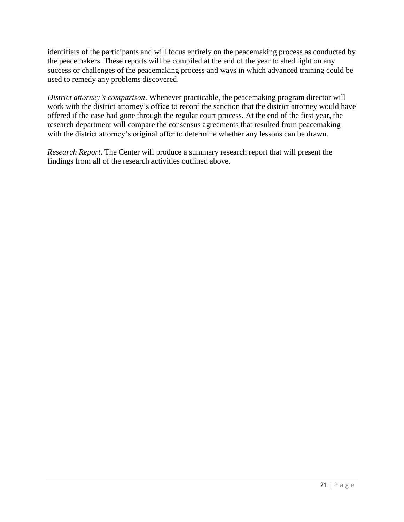identifiers of the participants and will focus entirely on the peacemaking process as conducted by the peacemakers. These reports will be compiled at the end of the year to shed light on any success or challenges of the peacemaking process and ways in which advanced training could be used to remedy any problems discovered.

*District attorney's comparison*. Whenever practicable, the peacemaking program director will work with the district attorney's office to record the sanction that the district attorney would have offered if the case had gone through the regular court process. At the end of the first year, the research department will compare the consensus agreements that resulted from peacemaking with the district attorney's original offer to determine whether any lessons can be drawn.

*Research Report*. The Center will produce a summary research report that will present the findings from all of the research activities outlined above.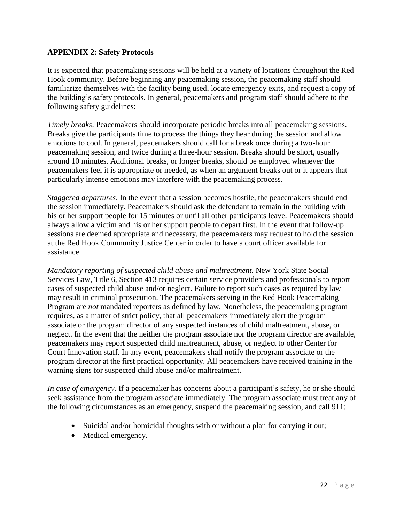#### **APPENDIX 2: Safety Protocols**

It is expected that peacemaking sessions will be held at a variety of locations throughout the Red Hook community. Before beginning any peacemaking session, the peacemaking staff should familiarize themselves with the facility being used, locate emergency exits, and request a copy of the building's safety protocols. In general, peacemakers and program staff should adhere to the following safety guidelines:

*Timely breaks*. Peacemakers should incorporate periodic breaks into all peacemaking sessions. Breaks give the participants time to process the things they hear during the session and allow emotions to cool. In general, peacemakers should call for a break once during a two-hour peacemaking session, and twice during a three-hour session. Breaks should be short, usually around 10 minutes. Additional breaks, or longer breaks, should be employed whenever the peacemakers feel it is appropriate or needed, as when an argument breaks out or it appears that particularly intense emotions may interfere with the peacemaking process.

*Staggered departures*. In the event that a session becomes hostile, the peacemakers should end the session immediately. Peacemakers should ask the defendant to remain in the building with his or her support people for 15 minutes or until all other participants leave. Peacemakers should always allow a victim and his or her support people to depart first. In the event that follow-up sessions are deemed appropriate and necessary, the peacemakers may request to hold the session at the Red Hook Community Justice Center in order to have a court officer available for assistance.

*Mandatory reporting of suspected child abuse and maltreatment.* New York State Social Services Law, Title 6, Section 413 requires certain service providers and professionals to report cases of suspected child abuse and/or neglect. Failure to report such cases as required by law may result in criminal prosecution. The peacemakers serving in the Red Hook Peacemaking Program are *not* mandated reporters as defined by law. Nonetheless, the peacemaking program requires, as a matter of strict policy, that all peacemakers immediately alert the program associate or the program director of any suspected instances of child maltreatment, abuse, or neglect. In the event that the neither the program associate nor the program director are available, peacemakers may report suspected child maltreatment, abuse, or neglect to other Center for Court Innovation staff. In any event, peacemakers shall notify the program associate or the program director at the first practical opportunity. All peacemakers have received training in the warning signs for suspected child abuse and/or maltreatment.

*In case of emergency.* If a peacemaker has concerns about a participant's safety, he or she should seek assistance from the program associate immediately. The program associate must treat any of the following circumstances as an emergency, suspend the peacemaking session, and call 911:

- Suicidal and/or homicidal thoughts with or without a plan for carrying it out;
- Medical emergency.